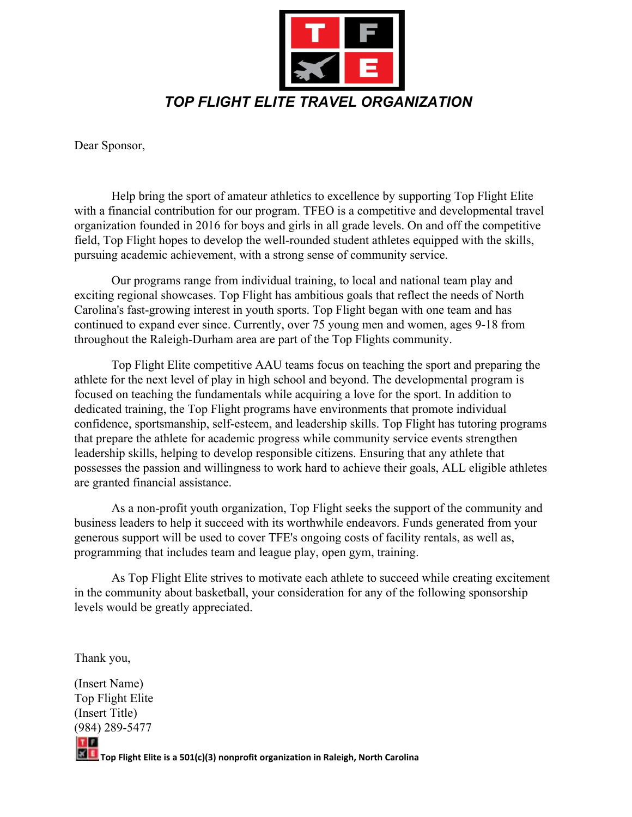

Dear Sponsor,

Help bring the sport of amateur athletics to excellence by supporting Top Flight Elite with a financial contribution for our program. TFEO is a competitive and developmental travel organization founded in 2016 for boys and girls in all grade levels. On and off the competitive field, Top Flight hopes to develop the well-rounded student athletes equipped with the skills, pursuing academic achievement, with a strong sense of community service.

Our programs range from individual training, to local and national team play and exciting regional showcases. Top Flight has ambitious goals that reflect the needs of North Carolina's fast-growing interest in youth sports. Top Flight began with one team and has continued to expand ever since. Currently, over 75 young men and women, ages 9-18 from throughout the Raleigh-Durham area are part of the Top Flights community.

Top Flight Elite competitive AAU teams focus on teaching the sport and preparing the athlete for the next level of play in high school and beyond. The developmental program is focused on teaching the fundamentals while acquiring a love for the sport. In addition to dedicated training, the Top Flight programs have environments that promote individual confidence, sportsmanship, self-esteem, and leadership skills. Top Flight has tutoring programs that prepare the athlete for academic progress while community service events strengthen leadership skills, helping to develop responsible citizens. Ensuring that any athlete that possesses the passion and willingness to work hard to achieve their goals, ALL eligible athletes are granted financial assistance.

As a non-profit youth organization, Top Flight seeks the support of the community and business leaders to help it succeed with its worthwhile endeavors. Funds generated from your generous support will be used to cover TFE's ongoing costs of facility rentals, as well as, programming that includes team and league play, open gym, training.

As Top Flight Elite strives to motivate each athlete to succeed while creating excitement in the community about basketball, your consideration for any of the following sponsorship levels would be greatly appreciated.

Thank you,

(Insert Name) Top Flight Elite (Insert Title) (984) 289-5477  $T$   $F$ 

**Top Flight Elite is a 501(c)(3) nonprofit organization in Raleigh, North Carolina**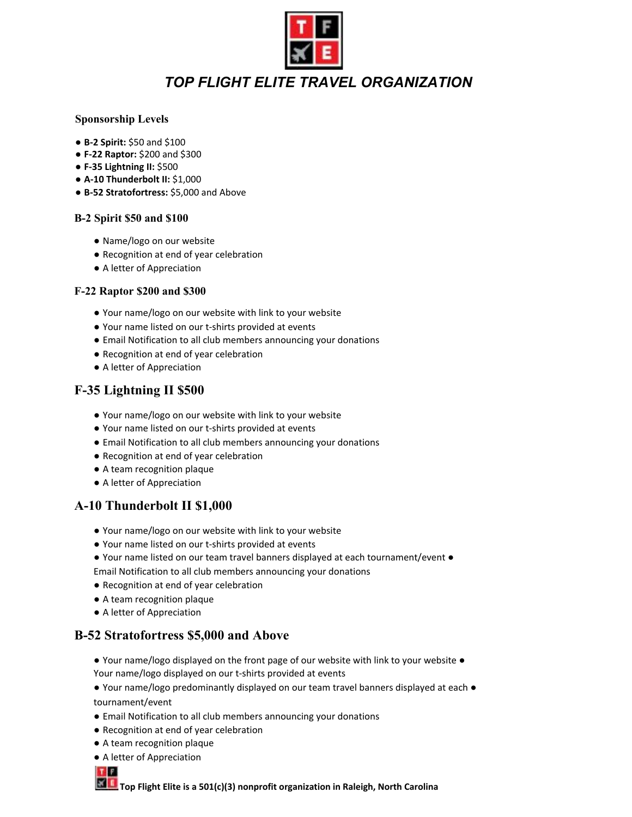

# *TOP FLIGHT ELITE TRAVEL ORGANIZATION*

### **Sponsorship Levels**

- **B-2 Spirit:** \$50 and \$100
- **F-22 Raptor:** \$200 and \$300
- **F-35 Lightning II:** \$500
- **A-10 Thunderbolt II:** \$1,000
- **B-52 Stratofortress:** \$5,000 and Above

#### **B-2 Spirit \$50 and \$100**

- Name/logo on our website
- Recognition at end of year celebration
- A letter of Appreciation

#### **F-22 Raptor \$200 and \$300**

- Your name/logo on our website with link to your website
- Your name listed on our t-shirts provided at events
- Email Notification to all club members announcing your donations
- Recognition at end of year celebration
- A letter of Appreciation

### **F-35 Lightning II \$500**

- Your name/logo on our website with link to your website
- Your name listed on our t-shirts provided at events
- Email Notification to all club members announcing your donations
- Recognition at end of year celebration
- A team recognition plaque
- A letter of Appreciation

## **A-10 Thunderbolt II \$1,000**

- Your name/logo on our website with link to your website
- Your name listed on our t-shirts provided at events
- Your name listed on our team travel banners displayed at each tournament/event ●

Email Notification to all club members announcing your donations

- Recognition at end of year celebration
- A team recognition plaque
- A letter of Appreciation

### **B-52 Stratofortress \$5,000 and Above**

- Your name/logo displayed on the front page of our website with link to your website Your name/logo displayed on our t-shirts provided at events
- Your name/logo predominantly displayed on our team travel banners displayed at each tournament/event
- Email Notification to all club members announcing your donations
- Recognition at end of year celebration
- A team recognition plaque
- A letter of Appreciation



**Top Flight Elite is a 501(c)(3) nonprofit organization in Raleigh, North Carolina**